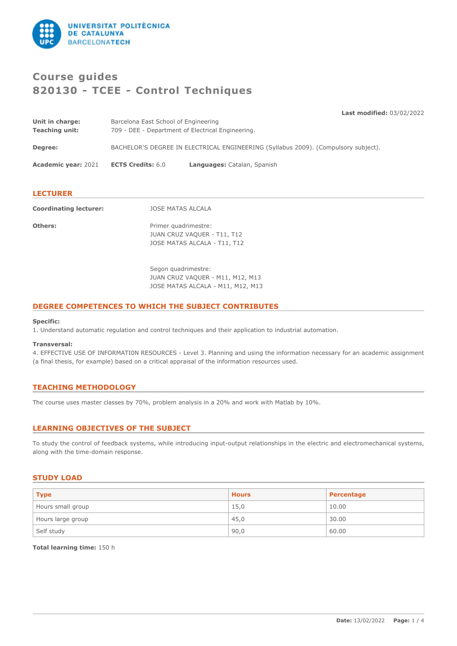

# **Course guides 820130 - TCEE - Control Techniques**

**Last modified:** 03/02/2022

| Unit in charge:            | Barcelona East School of Engineering                                               |                             |  |
|----------------------------|------------------------------------------------------------------------------------|-----------------------------|--|
| <b>Teaching unit:</b>      | 709 - DEE - Department of Electrical Engineering.                                  |                             |  |
| Degree:                    | BACHELOR'S DEGREE IN ELECTRICAL ENGINEERING (Syllabus 2009). (Compulsory subject). |                             |  |
| <b>Academic year: 2021</b> | <b>ECTS Credits: 6.0</b>                                                           | Languages: Catalan, Spanish |  |
|                            |                                                                                    |                             |  |

# **LECTURER**

**Coordinating lecturer:** JOSE MATAS ALCALA

**Others:** Primer quadrimestre: JUAN CRUZ VAQUER - T11, T12 JOSE MATAS ALCALA - T11, T12

> Segon quadrimestre: JUAN CRUZ VAQUER - M11, M12, M13 JOSE MATAS ALCALA - M11, M12, M13

# **DEGREE COMPETENCES TO WHICH THE SUBJECT CONTRIBUTES**

#### **Specific:**

1. Understand automatic regulation and control techniques and their application to industrial automation.

#### **Transversal:**

4. EFFECTIVE USE OF INFORMATI0N RESOURCES - Level 3. Planning and using the information necessary for an academic assignment (a final thesis, for example) based on a critical appraisal of the information resources used.

# **TEACHING METHODOLOGY**

The course uses master classes by 70%, problem analysis in a 20% and work with Matlab by 10%.

# **LEARNING OBJECTIVES OF THE SUBJECT**

To study the control of feedback systems, while introducing input-output relationships in the electric and electromechanical systems, along with the time-domain response.

# **STUDY LOAD**

| <b>Type</b>       | <b>Hours</b> | Percentage |
|-------------------|--------------|------------|
| Hours small group | 15,0         | 10.00      |
| Hours large group | 45,0         | 30.00      |
| Self study        | 90,0         | 60.00      |

**Total learning time:** 150 h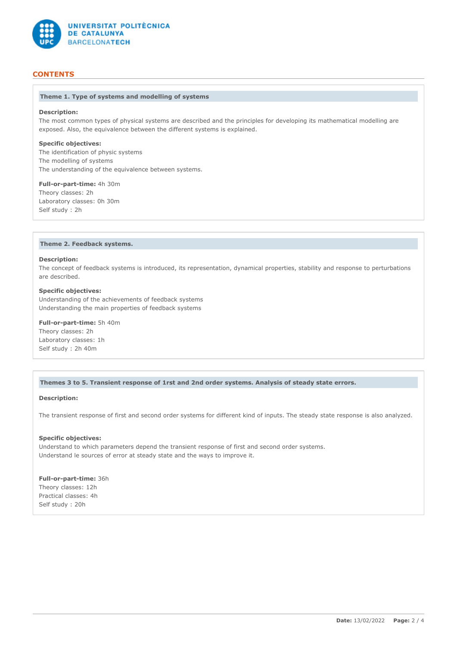

# **CONTENTS**

## **Theme 1. Type of systems and modelling of systems**

## **Description:**

The most common types of physical systems are described and the principles for developing its mathematical modelling are exposed. Also, the equivalence between the different systems is explained.

#### **Specific objectives:**

The identification of physic systems The modelling of systems The understanding of the equivalence between systems.

#### **Full-or-part-time:** 4h 30m

Theory classes: 2h Laboratory classes: 0h 30m Self study : 2h

## **Theme 2. Feedback systems.**

#### **Description:**

The concept of feedback systems is introduced, its representation, dynamical properties, stability and response to perturbations are described.

## **Specific objectives:**

Understanding of the achievements of feedback systems Understanding the main properties of feedback systems

**Full-or-part-time:** 5h 40m Theory classes: 2h Laboratory classes: 1h Self study : 2h 40m

## **Themes 3 to 5. Transient response of 1rst and 2nd order systems. Analysis of steady state errors.**

## **Description:**

The transient response of first and second order systems for different kind of inputs. The steady state response is also analyzed.

#### **Specific objectives:**

Understand to which parameters depend the transient response of first and second order systems. Understand le sources of error at steady state and the ways to improve it.

**Full-or-part-time:** 36h Theory classes: 12h Practical classes: 4h Self study : 20h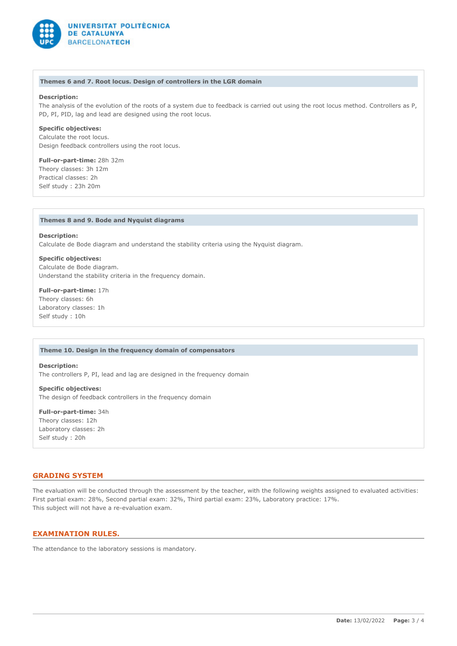

#### **Themes 6 and 7. Root locus. Design of controllers in the LGR domain**

## **Description:**

The analysis of the evolution of the roots of a system due to feedback is carried out using the root locus method. Controllers as P, PD, PI, PID, lag and lead are designed using the root locus.

## **Specific objectives:**

Calculate the root locus. Design feedback controllers using the root locus.

## **Full-or-part-time:** 28h 32m Theory classes: 3h 12m Practical classes: 2h Self study : 23h 20m

#### **Themes 8 and 9. Bode and Nyquist diagrams**

**Description:** Calculate de Bode diagram and understand the stability criteria using the Nyquist diagram.

**Specific objectives:** Calculate de Bode diagram. Understand the stability criteria in the frequency domain.

**Full-or-part-time:** 17h Theory classes: 6h Laboratory classes: 1h Self study : 10h

## **Theme 10. Design in the frequency domain of compensators**

The controllers P, PI, lead and lag are designed in the frequency domain **Specific objectives:** The design of feedback controllers in the frequency domain

**Full-or-part-time:** 34h Theory classes: 12h Laboratory classes: 2h Self study : 20h

**Description:**

## **GRADING SYSTEM**

The evaluation will be conducted through the assessment by the teacher, with the following weights assigned to evaluated activities: First partial exam: 28%, Second partial exam: 32%, Third partial exam: 23%, Laboratory practice: 17%. This subject will not have a re-evaluation exam.

## **EXAMINATION RULES.**

The attendance to the laboratory sessions is mandatory.